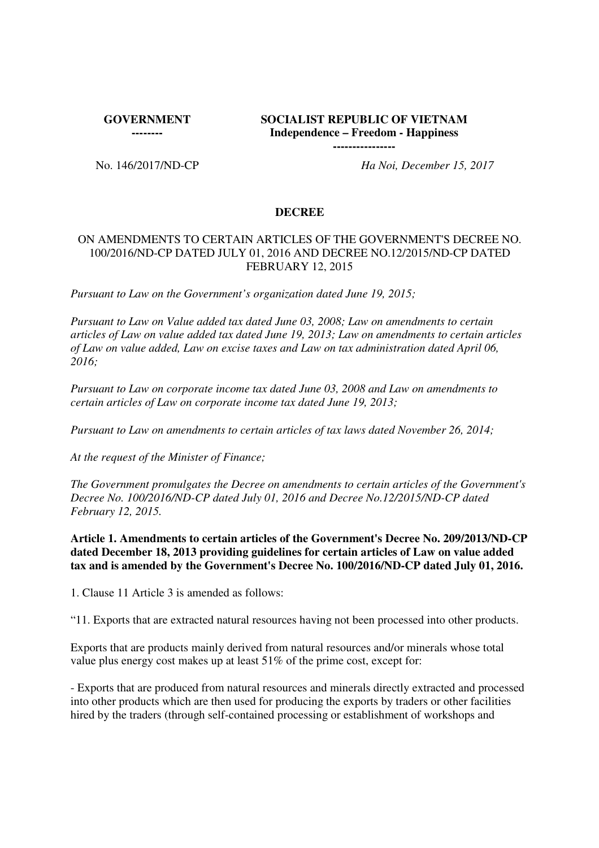**GOVERNMENT** 

**--------**

# **SOCIALIST REPUBLIC OF VIETNAM Independence – Freedom - Happiness**

**----------------**

No. 146/2017/ND-CP *Ha Noi, December 15, 2017*

### **DECREE**

### ON AMENDMENTS TO CERTAIN ARTICLES OF THE GOVERNMENT'S DECREE NO. 100/2016/ND-CP DATED JULY 01, 2016 AND DECREE NO.12/2015/ND-CP DATED FEBRUARY 12, 2015

*Pursuant to Law on the Government's organization dated June 19, 2015;*

*Pursuant to Law on Value added tax dated June 03, 2008; Law on amendments to certain articles of Law on value added tax dated June 19, 2013; Law on amendments to certain articles of Law on value added, Law on excise taxes and Law on tax administration dated April 06, 2016;*

*Pursuant to Law on corporate income tax dated June 03, 2008 and Law on amendments to certain articles of Law on corporate income tax dated June 19, 2013;*

*Pursuant to Law on amendments to certain articles of tax laws dated November 26, 2014;*

*At the request of the Minister of Finance;*

*The Government promulgates the Decree on amendments to certain articles of the Government's Decree No. 100/2016/ND-CP dated July 01, 2016 and Decree No.12/2015/ND-CP dated February 12, 2015.*

**Article 1. Amendments to certain articles of the Government's Decree No. 209/2013/ND-CP dated December 18, 2013 providing guidelines for certain articles of Law on value added tax and is amended by the Government's Decree No. 100/2016/ND-CP dated July 01, 2016.**

1. Clause 11 Article 3 is amended as follows:

"11. Exports that are extracted natural resources having not been processed into other products.

Exports that are products mainly derived from natural resources and/or minerals whose total value plus energy cost makes up at least 51% of the prime cost, except for:

- Exports that are produced from natural resources and minerals directly extracted and processed into other products which are then used for producing the exports by traders or other facilities hired by the traders (through self-contained processing or establishment of workshops and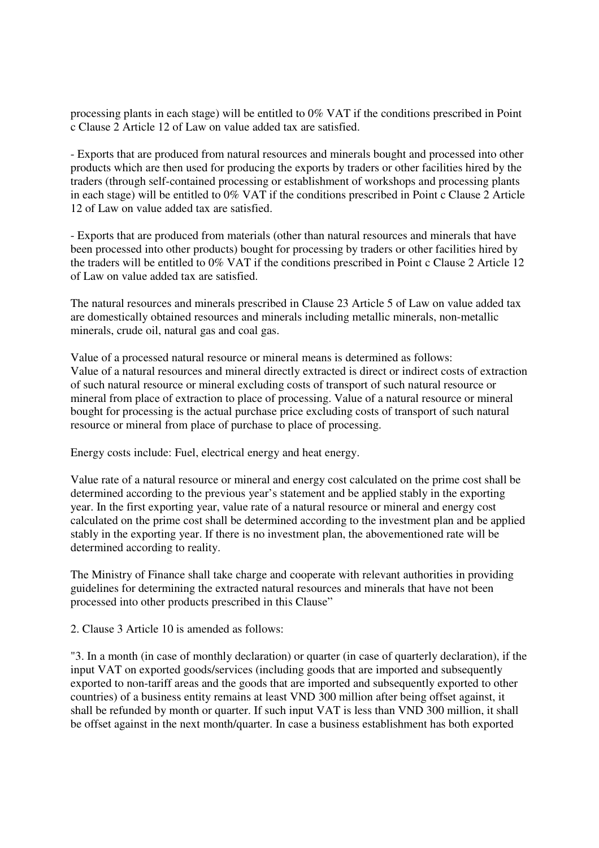processing plants in each stage) will be entitled to 0% VAT if the conditions prescribed in Point c Clause 2 Article 12 of Law on value added tax are satisfied.

- Exports that are produced from natural resources and minerals bought and processed into other products which are then used for producing the exports by traders or other facilities hired by the traders (through self-contained processing or establishment of workshops and processing plants in each stage) will be entitled to 0% VAT if the conditions prescribed in Point c Clause 2 Article 12 of Law on value added tax are satisfied.

- Exports that are produced from materials (other than natural resources and minerals that have been processed into other products) bought for processing by traders or other facilities hired by the traders will be entitled to 0% VAT if the conditions prescribed in Point c Clause 2 Article 12 of Law on value added tax are satisfied.

The natural resources and minerals prescribed in Clause 23 Article 5 of Law on value added tax are domestically obtained resources and minerals including metallic minerals, non-metallic minerals, crude oil, natural gas and coal gas.

Value of a processed natural resource or mineral means is determined as follows: Value of a natural resources and mineral directly extracted is direct or indirect costs of extraction of such natural resource or mineral excluding costs of transport of such natural resource or mineral from place of extraction to place of processing. Value of a natural resource or mineral bought for processing is the actual purchase price excluding costs of transport of such natural resource or mineral from place of purchase to place of processing.

Energy costs include: Fuel, electrical energy and heat energy.

Value rate of a natural resource or mineral and energy cost calculated on the prime cost shall be determined according to the previous year's statement and be applied stably in the exporting year. In the first exporting year, value rate of a natural resource or mineral and energy cost calculated on the prime cost shall be determined according to the investment plan and be applied stably in the exporting year. If there is no investment plan, the abovementioned rate will be determined according to reality.

The Ministry of Finance shall take charge and cooperate with relevant authorities in providing guidelines for determining the extracted natural resources and minerals that have not been processed into other products prescribed in this Clause"

2. Clause 3 Article 10 is amended as follows:

"3. In a month (in case of monthly declaration) or quarter (in case of quarterly declaration), if the input VAT on exported goods/services (including goods that are imported and subsequently exported to non-tariff areas and the goods that are imported and subsequently exported to other countries) of a business entity remains at least VND 300 million after being offset against, it shall be refunded by month or quarter. If such input VAT is less than VND 300 million, it shall be offset against in the next month/quarter. In case a business establishment has both exported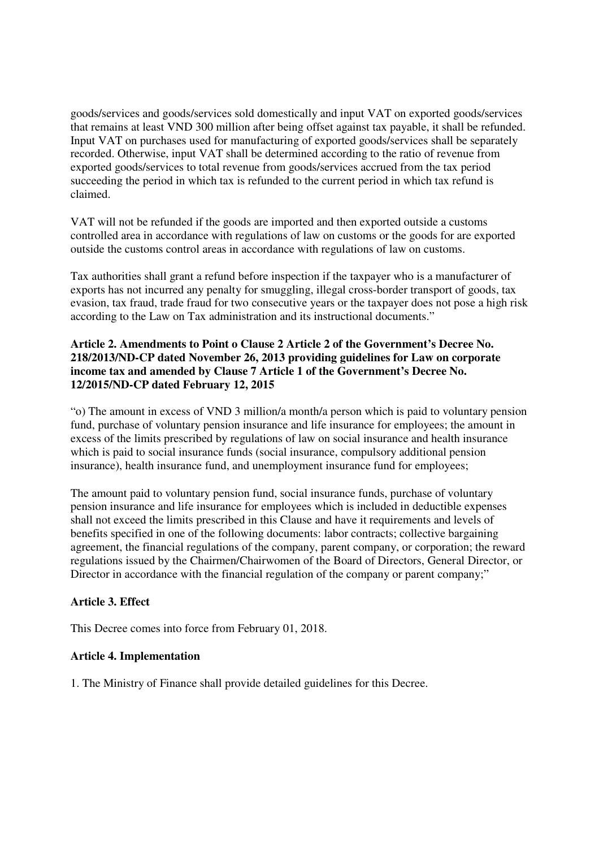goods/services and goods/services sold domestically and input VAT on exported goods/services that remains at least VND 300 million after being offset against tax payable, it shall be refunded. Input VAT on purchases used for manufacturing of exported goods/services shall be separately recorded. Otherwise, input VAT shall be determined according to the ratio of revenue from exported goods/services to total revenue from goods/services accrued from the tax period succeeding the period in which tax is refunded to the current period in which tax refund is claimed.

VAT will not be refunded if the goods are imported and then exported outside a customs controlled area in accordance with regulations of law on customs or the goods for are exported outside the customs control areas in accordance with regulations of law on customs.

Tax authorities shall grant a refund before inspection if the taxpayer who is a manufacturer of exports has not incurred any penalty for smuggling, illegal cross-border transport of goods, tax evasion, tax fraud, trade fraud for two consecutive years or the taxpayer does not pose a high risk according to the Law on Tax administration and its instructional documents."

### **Article 2. Amendments to Point o Clause 2 Article 2 of the Government's Decree No. 218/2013/ND-CP dated November 26, 2013 providing guidelines for Law on corporate income tax and amended by Clause 7 Article 1 of the Government's Decree No. 12/2015/ND-CP dated February 12, 2015**

"o) The amount in excess of VND 3 million/a month/a person which is paid to voluntary pension fund, purchase of voluntary pension insurance and life insurance for employees; the amount in excess of the limits prescribed by regulations of law on social insurance and health insurance which is paid to social insurance funds (social insurance, compulsory additional pension insurance), health insurance fund, and unemployment insurance fund for employees;

The amount paid to voluntary pension fund, social insurance funds, purchase of voluntary pension insurance and life insurance for employees which is included in deductible expenses shall not exceed the limits prescribed in this Clause and have it requirements and levels of benefits specified in one of the following documents: labor contracts; collective bargaining agreement, the financial regulations of the company, parent company, or corporation; the reward regulations issued by the Chairmen/Chairwomen of the Board of Directors, General Director, or Director in accordance with the financial regulation of the company or parent company;"

## **Article 3. Effect**

This Decree comes into force from February 01, 2018.

### **Article 4. Implementation**

1. The Ministry of Finance shall provide detailed guidelines for this Decree.